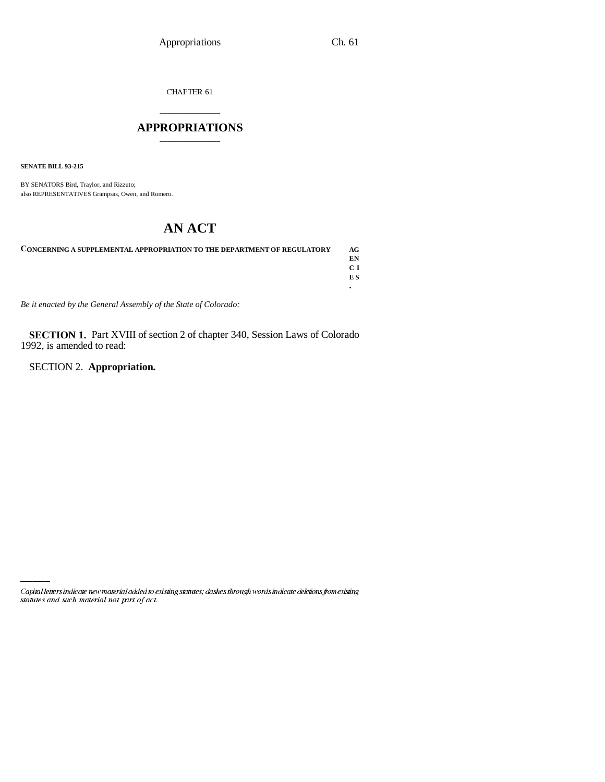CHAPTER  $61\,$ 

## \_\_\_\_\_\_\_\_\_\_\_\_\_\_\_ **APPROPRIATIONS** \_\_\_\_\_\_\_\_\_\_\_\_\_\_\_

**SENATE BILL 93-215**

BY SENATORS Bird, Traylor, and Rizzuto; also REPRESENTATIVES Grampsas, Owen, and Romero.

## **AN ACT**

| <b>CONCERNING A SUPPLEMENTAL APPROPRIATION TO THE DEPARTMENT OF REGULATORY</b> | AG.            |
|--------------------------------------------------------------------------------|----------------|
|                                                                                | EN             |
|                                                                                | C <sub>T</sub> |
|                                                                                | E S            |
|                                                                                |                |

*Be it enacted by the General Assembly of the State of Colorado:*

**SECTION 1.** Part XVIII of section 2 of chapter 340, Session Laws of Colorado 1992, is amended to read:

SECTION 2. **Appropriation.**

Capital letters indicate new material added to existing statutes; dashes through words indicate deletions from existing statutes and such material not part of act.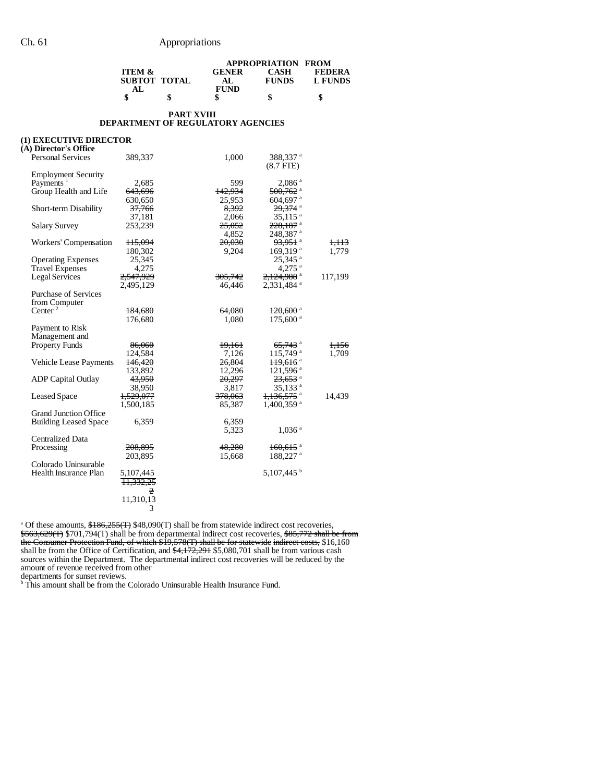|                                 |              |              | <b>APPROPRIATION FROM</b> |         |
|---------------------------------|--------------|--------------|---------------------------|---------|
| <b>ITEM <math>\&amp;</math></b> |              | <b>GENER</b> | CASH                      | FEDERA  |
|                                 | SUBTOT TOTAL |              | <b>FUNDS</b>              | L FUNDS |
|                                 |              | <b>FUND</b>  |                           |         |
| \$                              |              |              | S                         |         |

#### **PART XVIII DEPARTMENT OF REGULATORY AGENCIES**

#### **(1) EXECUTIVE DIRECTOR**

| 389,337            | 1,000                                                                                                                                                                                                                               | 388,337 <sup>a</sup><br>$(8.7$ FTE $)$                                                                                                                                                                               |                                                                                                                                                                                                                                                                                                                                                                                                                                                                                                                                                                                                                                                   |
|--------------------|-------------------------------------------------------------------------------------------------------------------------------------------------------------------------------------------------------------------------------------|----------------------------------------------------------------------------------------------------------------------------------------------------------------------------------------------------------------------|---------------------------------------------------------------------------------------------------------------------------------------------------------------------------------------------------------------------------------------------------------------------------------------------------------------------------------------------------------------------------------------------------------------------------------------------------------------------------------------------------------------------------------------------------------------------------------------------------------------------------------------------------|
|                    |                                                                                                                                                                                                                                     |                                                                                                                                                                                                                      |                                                                                                                                                                                                                                                                                                                                                                                                                                                                                                                                                                                                                                                   |
| 2,685              | 599                                                                                                                                                                                                                                 | $2,086$ <sup>a</sup>                                                                                                                                                                                                 |                                                                                                                                                                                                                                                                                                                                                                                                                                                                                                                                                                                                                                                   |
| <del>643,696</del> | 142.934                                                                                                                                                                                                                             | $500,762$ <sup>a</sup>                                                                                                                                                                                               |                                                                                                                                                                                                                                                                                                                                                                                                                                                                                                                                                                                                                                                   |
|                    |                                                                                                                                                                                                                                     |                                                                                                                                                                                                                      |                                                                                                                                                                                                                                                                                                                                                                                                                                                                                                                                                                                                                                                   |
| 37,766             | 8.392                                                                                                                                                                                                                               |                                                                                                                                                                                                                      |                                                                                                                                                                                                                                                                                                                                                                                                                                                                                                                                                                                                                                                   |
| 37,181             | 2,066                                                                                                                                                                                                                               |                                                                                                                                                                                                                      |                                                                                                                                                                                                                                                                                                                                                                                                                                                                                                                                                                                                                                                   |
|                    |                                                                                                                                                                                                                                     |                                                                                                                                                                                                                      |                                                                                                                                                                                                                                                                                                                                                                                                                                                                                                                                                                                                                                                   |
|                    |                                                                                                                                                                                                                                     |                                                                                                                                                                                                                      |                                                                                                                                                                                                                                                                                                                                                                                                                                                                                                                                                                                                                                                   |
|                    |                                                                                                                                                                                                                                     |                                                                                                                                                                                                                      | <del>1,113</del>                                                                                                                                                                                                                                                                                                                                                                                                                                                                                                                                                                                                                                  |
|                    |                                                                                                                                                                                                                                     |                                                                                                                                                                                                                      | 1,779                                                                                                                                                                                                                                                                                                                                                                                                                                                                                                                                                                                                                                             |
|                    |                                                                                                                                                                                                                                     |                                                                                                                                                                                                                      |                                                                                                                                                                                                                                                                                                                                                                                                                                                                                                                                                                                                                                                   |
|                    |                                                                                                                                                                                                                                     |                                                                                                                                                                                                                      |                                                                                                                                                                                                                                                                                                                                                                                                                                                                                                                                                                                                                                                   |
|                    |                                                                                                                                                                                                                                     |                                                                                                                                                                                                                      | 117,199                                                                                                                                                                                                                                                                                                                                                                                                                                                                                                                                                                                                                                           |
|                    |                                                                                                                                                                                                                                     |                                                                                                                                                                                                                      |                                                                                                                                                                                                                                                                                                                                                                                                                                                                                                                                                                                                                                                   |
|                    |                                                                                                                                                                                                                                     |                                                                                                                                                                                                                      |                                                                                                                                                                                                                                                                                                                                                                                                                                                                                                                                                                                                                                                   |
|                    |                                                                                                                                                                                                                                     |                                                                                                                                                                                                                      |                                                                                                                                                                                                                                                                                                                                                                                                                                                                                                                                                                                                                                                   |
|                    |                                                                                                                                                                                                                                     |                                                                                                                                                                                                                      |                                                                                                                                                                                                                                                                                                                                                                                                                                                                                                                                                                                                                                                   |
|                    |                                                                                                                                                                                                                                     |                                                                                                                                                                                                                      |                                                                                                                                                                                                                                                                                                                                                                                                                                                                                                                                                                                                                                                   |
|                    |                                                                                                                                                                                                                                     |                                                                                                                                                                                                                      |                                                                                                                                                                                                                                                                                                                                                                                                                                                                                                                                                                                                                                                   |
|                    |                                                                                                                                                                                                                                     |                                                                                                                                                                                                                      |                                                                                                                                                                                                                                                                                                                                                                                                                                                                                                                                                                                                                                                   |
|                    |                                                                                                                                                                                                                                     |                                                                                                                                                                                                                      |                                                                                                                                                                                                                                                                                                                                                                                                                                                                                                                                                                                                                                                   |
|                    |                                                                                                                                                                                                                                     |                                                                                                                                                                                                                      | 1,156                                                                                                                                                                                                                                                                                                                                                                                                                                                                                                                                                                                                                                             |
|                    |                                                                                                                                                                                                                                     |                                                                                                                                                                                                                      | 1,709                                                                                                                                                                                                                                                                                                                                                                                                                                                                                                                                                                                                                                             |
|                    |                                                                                                                                                                                                                                     |                                                                                                                                                                                                                      |                                                                                                                                                                                                                                                                                                                                                                                                                                                                                                                                                                                                                                                   |
|                    |                                                                                                                                                                                                                                     |                                                                                                                                                                                                                      |                                                                                                                                                                                                                                                                                                                                                                                                                                                                                                                                                                                                                                                   |
|                    |                                                                                                                                                                                                                                     |                                                                                                                                                                                                                      |                                                                                                                                                                                                                                                                                                                                                                                                                                                                                                                                                                                                                                                   |
|                    |                                                                                                                                                                                                                                     |                                                                                                                                                                                                                      |                                                                                                                                                                                                                                                                                                                                                                                                                                                                                                                                                                                                                                                   |
|                    |                                                                                                                                                                                                                                     |                                                                                                                                                                                                                      | 14,439                                                                                                                                                                                                                                                                                                                                                                                                                                                                                                                                                                                                                                            |
|                    |                                                                                                                                                                                                                                     |                                                                                                                                                                                                                      |                                                                                                                                                                                                                                                                                                                                                                                                                                                                                                                                                                                                                                                   |
|                    |                                                                                                                                                                                                                                     |                                                                                                                                                                                                                      |                                                                                                                                                                                                                                                                                                                                                                                                                                                                                                                                                                                                                                                   |
|                    |                                                                                                                                                                                                                                     |                                                                                                                                                                                                                      |                                                                                                                                                                                                                                                                                                                                                                                                                                                                                                                                                                                                                                                   |
|                    |                                                                                                                                                                                                                                     |                                                                                                                                                                                                                      |                                                                                                                                                                                                                                                                                                                                                                                                                                                                                                                                                                                                                                                   |
|                    |                                                                                                                                                                                                                                     |                                                                                                                                                                                                                      |                                                                                                                                                                                                                                                                                                                                                                                                                                                                                                                                                                                                                                                   |
|                    |                                                                                                                                                                                                                                     |                                                                                                                                                                                                                      |                                                                                                                                                                                                                                                                                                                                                                                                                                                                                                                                                                                                                                                   |
|                    |                                                                                                                                                                                                                                     |                                                                                                                                                                                                                      |                                                                                                                                                                                                                                                                                                                                                                                                                                                                                                                                                                                                                                                   |
|                    |                                                                                                                                                                                                                                     |                                                                                                                                                                                                                      |                                                                                                                                                                                                                                                                                                                                                                                                                                                                                                                                                                                                                                                   |
| 5,107,445          |                                                                                                                                                                                                                                     |                                                                                                                                                                                                                      |                                                                                                                                                                                                                                                                                                                                                                                                                                                                                                                                                                                                                                                   |
| 11.332.25          |                                                                                                                                                                                                                                     |                                                                                                                                                                                                                      |                                                                                                                                                                                                                                                                                                                                                                                                                                                                                                                                                                                                                                                   |
| 2                  |                                                                                                                                                                                                                                     |                                                                                                                                                                                                                      |                                                                                                                                                                                                                                                                                                                                                                                                                                                                                                                                                                                                                                                   |
| 11,310,13          |                                                                                                                                                                                                                                     |                                                                                                                                                                                                                      |                                                                                                                                                                                                                                                                                                                                                                                                                                                                                                                                                                                                                                                   |
| 3                  |                                                                                                                                                                                                                                     |                                                                                                                                                                                                                      |                                                                                                                                                                                                                                                                                                                                                                                                                                                                                                                                                                                                                                                   |
|                    | 630,650<br>253,239<br>115,094<br>180,302<br>25,345<br>4,275<br>2,547,929<br>2,495,129<br>184,680<br>176,680<br>86,060<br>124,584<br>146,420<br>133,892<br>43,950<br>38,950<br>1,529,077<br>1,500,185<br>6,359<br>208,895<br>203,895 | 25,953<br>25,052<br>4,852<br>20,030<br>9,204<br>305,742<br>46,446<br>64,080<br>1,080<br>19,161<br>7,126<br>26,804<br>12,296<br>20,297<br>3,817<br><del>378,063</del><br>85,387<br>6,359<br>5,323<br>48,280<br>15,668 | 604,697 <sup>a</sup><br>$29,374$ <sup>a</sup><br>$35,115$ <sup>a</sup><br>$228,187$ <sup>a</sup><br>248,387 a<br>93,951 <sup>a</sup><br>$169,319$ <sup>a</sup><br>$25,345$ <sup>a</sup><br>$4,275$ <sup>a</sup><br>2,124,988 <sup>a</sup><br>2,331,484 <sup>a</sup><br>$120,600$ <sup>a</sup><br>$175,600$ <sup>a</sup><br>$65,743$ <sup>a</sup><br>115,749 <sup>a</sup><br>$119,616$ <sup>a</sup><br>$121,596$ <sup>a</sup><br><del>23,653</del> <sup>a</sup><br>35,133 <sup>a</sup><br>1,136,575 <sup>a</sup><br>$1,400,359$ <sup>a</sup><br>$1,036$ <sup>a</sup><br>$160,615$ <sup>a</sup><br>188,227 <sup>a</sup><br>$5,107,445$ <sup>b</sup> |

<sup>a</sup> Of these amounts,  $\frac{$186,255(T) $48,090(T) $$  shall be from statewide indirect cost recoveries, \$563,629(T) \$701,794(T) shall be from departmental indirect cost recoveries, \$85,772 shall be from the Consumer Protection Fund, of which \$19,578(T) shall be for statewide indirect costs, \$16,160 shall be from the Office of Certification, and  $\frac{4,172,291}{85,080,701}$  shall be from various cash sources within the Department. The departmental indirect cost recoveries will be reduced by the amount of revenue received from other

departments for sunset reviews. b This amount shall be from the Colorado Uninsurable Health Insurance Fund.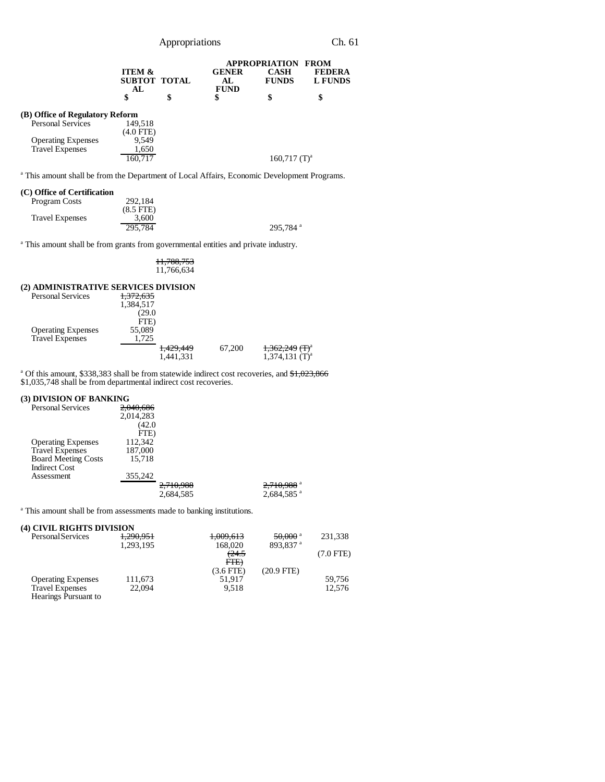Appropriations Ch. 61

|                                 |                                         |    |                                    | <b>APPROPRIATION</b>        | <b>FROM</b>                     |
|---------------------------------|-----------------------------------------|----|------------------------------------|-----------------------------|---------------------------------|
|                                 | <b>ITEM &amp;</b><br>SUBTOT TOTAL<br>AL |    | <b>GENER</b><br>AL.<br><b>FUND</b> | <b>CASH</b><br><b>FUNDS</b> | <b>FEDERA</b><br><b>L FUNDS</b> |
|                                 | \$                                      | \$ | \$                                 | \$                          | \$                              |
| (B) Office of Regulatory Reform |                                         |    |                                    |                             |                                 |
| <b>Personal Services</b>        | 149.518<br>$(4.0$ FTE $)$               |    |                                    |                             |                                 |
| <b>Operating Expenses</b>       | 9.549                                   |    |                                    |                             |                                 |
| <b>Travel Expenses</b>          | 1,650                                   |    |                                    |                             |                                 |
|                                 | 160.717                                 |    |                                    | $160,717$ (T) <sup>a</sup>  |                                 |

<sup>a</sup> This amount shall be from the Department of Local Affairs, Economic Development Programs.

#### **(C) Office of Certification**

| Program Costs          | 292.184        |                      |
|------------------------|----------------|----------------------|
|                        | $(8.5$ FTE $)$ |                      |
| <b>Travel Expenses</b> | 3.600          |                      |
|                        | 295.784        | 295.784 <sup>a</sup> |

<sup>a</sup> This amount shall be from grants from governmental entities and private industry.

#### 11,788,753 11,766,634

#### **(2) ADMINISTRATIVE SERVICES DIVISION**

| <b>Personal Services</b>  | 1,372,635 |           |                              |
|---------------------------|-----------|-----------|------------------------------|
|                           | 1,384,517 |           |                              |
|                           | (29.0     |           |                              |
|                           | FTE)      |           |                              |
| <b>Operating Expenses</b> | 55,089    |           |                              |
| <b>Travel Expenses</b>    | 1.725     |           |                              |
|                           | 1,429,449 | 67.200    | $1,362,249$ (T) <sup>a</sup> |
|                           |           | 1,441,331 | $1,374,131$ (T) <sup>a</sup> |

<sup>a</sup> Of this amount, \$338,383 shall be from statewide indirect cost recoveries, and \$1,023,866 \$1,035,748 shall be from departmental indirect cost recoveries.

#### **(3) DIVISION OF BANKING**

| <b>Personal Services</b>   | 204060<br><del>2,040,080</del> |           |                          |
|----------------------------|--------------------------------|-----------|--------------------------|
|                            | 2.014.283                      |           |                          |
|                            | (42.0)                         |           |                          |
|                            | FTE)                           |           |                          |
| <b>Operating Expenses</b>  | 112,342                        |           |                          |
| <b>Travel Expenses</b>     | 187,000                        |           |                          |
| <b>Board Meeting Costs</b> | 15,718                         |           |                          |
| <b>Indirect Cost</b>       |                                |           |                          |
| Assessment                 | 355,242                        |           |                          |
|                            |                                | 2,710,988 | $2,710,988$ <sup>a</sup> |
|                            |                                | 2.684.585 | $2,684,585$ <sup>a</sup> |

<sup>a</sup> This amount shall be from assessments made to banking institutions.

### **(4) CIVIL RIGHTS DIVISION**

| Personal Services         | 1,290,951 | 1,009,613        | $50,000$ <sup>a</sup> | 231,338     |
|---------------------------|-----------|------------------|-----------------------|-------------|
|                           | 1,293,195 | 168,020          | 893.837 <sup>a</sup>  |             |
|                           |           | <del>(24.5</del> |                       | $(7.0$ FTE) |
|                           |           | FTE              |                       |             |
|                           |           | $(3.6$ FTE)      | $(20.9$ FTE)          |             |
| <b>Operating Expenses</b> | 111,673   | 51.917           |                       | 59.756      |
| <b>Travel Expenses</b>    | 22,094    | 9.518            |                       | 12.576      |
| Hearings Pursuant to      |           |                  |                       |             |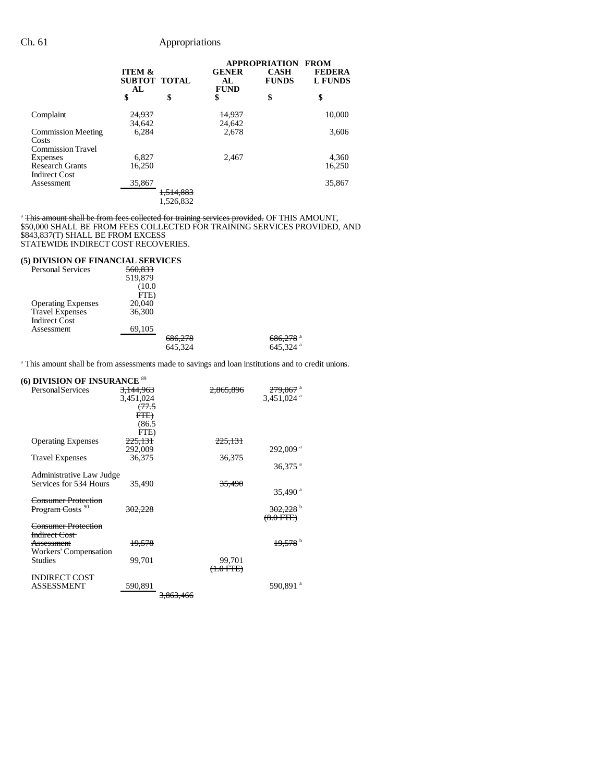|                                                                |                                                |                                   | <b>APPROPRIATION</b>               |                             | <b>FROM</b>                     |  |
|----------------------------------------------------------------|------------------------------------------------|-----------------------------------|------------------------------------|-----------------------------|---------------------------------|--|
|                                                                | <b>ITEM &amp;</b><br><b>SUBTOT TOTAL</b><br>AL |                                   | <b>GENER</b><br>AL.<br><b>FUND</b> | <b>CASH</b><br><b>FUNDS</b> | <b>FEDERA</b><br><b>L FUNDS</b> |  |
|                                                                | \$                                             | \$                                | \$                                 | \$                          | \$                              |  |
| Complaint                                                      | 24,937<br>34,642                               |                                   | 14,937<br>24,642                   |                             | 10,000                          |  |
| <b>Commission Meeting</b><br>Costs<br><b>Commission Travel</b> | 6.284                                          |                                   | 2.678                              |                             | 3,606                           |  |
| Expenses<br><b>Research Grants</b><br><b>Indirect Cost</b>     | 6,827<br>16.250                                |                                   | 2.467                              |                             | 4,360<br>16,250                 |  |
| Assessment                                                     | 35,867                                         | <del>1,514,883</del><br>1,526,832 |                                    |                             | 35,867                          |  |

<sup>a</sup> This amount shall be from fees collected for training services provided. OF THIS AMOUNT, \$50,000 SHALL BE FROM FEES COLLECTED FOR TRAINING SERVICES PROVIDED, AND \$843,837(T) SHALL BE FROM EXCESS STATEWIDE INDIRECT COST RECOVERIES.

### **(5) DIVISION OF FINANCIAL SERVICES**

| <b>Personal Services</b>  | 560,833 |         |                        |
|---------------------------|---------|---------|------------------------|
|                           | 519,879 |         |                        |
|                           | (10.0)  |         |                        |
|                           | FTE)    |         |                        |
| <b>Operating Expenses</b> | 20,040  |         |                        |
| <b>Travel Expenses</b>    | 36,300  |         |                        |
| <b>Indirect Cost</b>      |         |         |                        |
| Assessment                | 69,105  |         |                        |
|                           |         | 686,278 | $686,278$ <sup>a</sup> |
|                           |         | 645,324 | $645,324$ <sup>a</sup> |
|                           |         |         |                        |

<sup>a</sup> This amount shall be from assessments made to savings and loan institutions and to credit unions.

### **(6) DIVISION OF INSURANCE** <sup>89</sup>

| <b>Personal Services</b>    | <del>3,144,963</del>          | 2.865.896            | <del>279,067</del> a     |
|-----------------------------|-------------------------------|----------------------|--------------------------|
|                             | 3,451,024<br><del>(77.5</del> |                      | $3,451,024$ <sup>a</sup> |
|                             | FTE                           |                      |                          |
|                             | (86.5)                        |                      |                          |
|                             | FTE)                          |                      |                          |
| <b>Operating Expenses</b>   | 225,131                       | <del>225,131</del>   |                          |
|                             | 292,009                       |                      | $292,009$ <sup>a</sup>   |
| <b>Travel Expenses</b>      | 36,375                        | 36,375               |                          |
|                             |                               |                      | 36,375 $^{a}$            |
| Administrative Law Judge    |                               |                      |                          |
| Services for 534 Hours      | 35.490                        | 35,490               |                          |
|                             |                               |                      | $35,490$ <sup>a</sup>    |
| Consumer Protection         |                               |                      |                          |
| Program Costs <sup>90</sup> | 302,228                       |                      | $302,228$ <sup>b</sup>   |
|                             |                               |                      | (8.0 FFE)                |
| Consumer Protection         |                               |                      |                          |
| Indirect Cost               |                               |                      |                          |
| <b>Assessment</b>           | 19,578                        |                      |                          |
| Workers' Compensation       |                               |                      |                          |
| <b>Studies</b>              | 99,701                        | 99,701               |                          |
|                             |                               | <del>(1.0 FTE)</del> |                          |
| <b>INDIRECT COST</b>        |                               |                      |                          |
| ASSESSMENT                  | 590,891                       |                      | 590,891 <sup>a</sup>     |
|                             |                               | <del>3.863.466</del> |                          |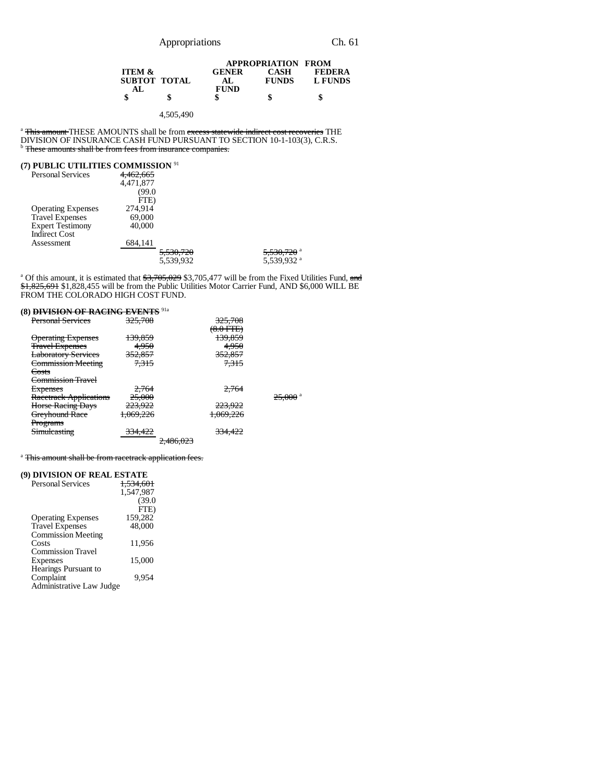|                   |              | <b>APPROPRIATION FROM</b> |               |
|-------------------|--------------|---------------------------|---------------|
| <b>ITEM &amp;</b> | <b>GENER</b> | <b>CASH</b>               | <b>FEDERA</b> |
| SUBTOT TOTAL      | AL.          | <b>FUNDS</b>              | L FUNDS       |
| AL.               | <b>FUND</b>  |                           |               |
|                   | \$           | \$                        | S             |

4,505,490

<sup>a</sup> This amount THESE AMOUNTS shall be from excess statewide indirect cost recoveries THE DIVISION OF INSURANCE CASH FUND PURSUANT TO SECTION 10-1-103(3), C.R.S.<br><sup>b</sup> <del>These amounts shall be from fees from insurance companies.</del>

### **(7) PUBLIC UTILITIES COMMISSION** <sup>91</sup>

| $111$ CDLIC CTILITIES COMMISSION |           |                      |                        |
|----------------------------------|-----------|----------------------|------------------------|
| <b>Personal Services</b>         | 4.462.665 |                      |                        |
|                                  | 4,471,877 |                      |                        |
|                                  | (99.0     |                      |                        |
|                                  | FTE)      |                      |                        |
| <b>Operating Expenses</b>        | 274.914   |                      |                        |
| <b>Travel Expenses</b>           | 69,000    |                      |                        |
| <b>Expert Testimony</b>          | 40,000    |                      |                        |
| <b>Indirect Cost</b>             |           |                      |                        |
| Assessment                       | 684,141   |                      |                        |
|                                  |           | <del>5,530,720</del> | 5,530,720 <sup>a</sup> |
|                                  |           | 5,539,932            | 5,539,932 <sup>a</sup> |
|                                  |           |                      |                        |

<sup>a</sup> Of this amount, it is estimated that \$3,705,029 \$3,705,477 will be from the Fixed Utilities Fund, and \$1,825,691 \$1,828,455 will be from the Public Utilities Motor Carrier Fund, AND \$6,000 WILL BE FROM THE COLORADO HIGH COST FUND.

## **(8) DIVISION OF RACING EVENTS** 91a

| 325,708            |           | 325,708              |                       |
|--------------------|-----------|----------------------|-----------------------|
|                    |           | <del>(8.0 FTE)</del> |                       |
| 139,859            |           | 139,859              |                       |
| 4,950              |           | 4,950                |                       |
| <del>352,857</del> |           | 352,857              |                       |
| 7.315              |           | 7.315                |                       |
|                    |           |                      |                       |
|                    |           |                      |                       |
| 2,764              |           | 2.764                |                       |
| 25,000             |           |                      | $25,000$ <sup>a</sup> |
| <del>223,922</del> |           | <del>223,922</del>   |                       |
| 1,069,226          |           | 1,069,226            |                       |
|                    |           |                      |                       |
| <del>334,422</del> |           | 334,422              |                       |
|                    | 2,486,023 |                      |                       |
|                    |           |                      |                       |

<sup>a</sup> This amount shall be from racetrack application fees.

#### **(9) DIVISION OF REAL ESTATE**

| <b>Personal Services</b>  | <del>1.534.601</del> |
|---------------------------|----------------------|
|                           | 1.547.987            |
|                           | (39.0)               |
|                           | FTE)                 |
| <b>Operating Expenses</b> | 159.282              |
| <b>Travel Expenses</b>    | 48,000               |
| <b>Commission Meeting</b> |                      |
| Costs                     | 11,956               |
| <b>Commission Travel</b>  |                      |
| Expenses                  | 15,000               |
| Hearings Pursuant to      |                      |
| Complaint                 | 9.954                |
| Administrative Law Judge  |                      |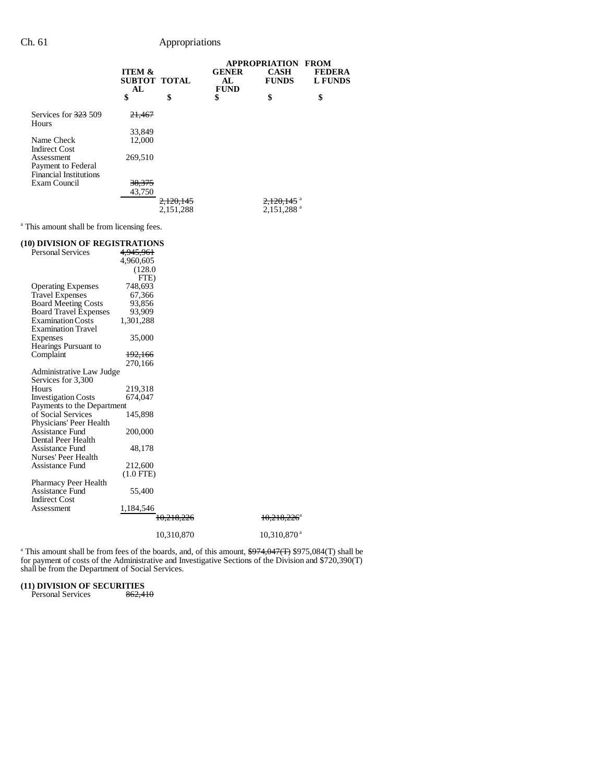### Ch. 61 Appropriations

|                                                                   |                                         |                        | <b>APPROPRIATION</b>               | <b>FROM</b>                 |                                 |
|-------------------------------------------------------------------|-----------------------------------------|------------------------|------------------------------------|-----------------------------|---------------------------------|
|                                                                   | <b>ITEM &amp;</b><br>SUBTOT TOTAL<br>AL |                        | <b>GENER</b><br>AL.<br><b>FUND</b> | <b>CASH</b><br><b>FUNDS</b> | <b>FEDERA</b><br><b>L FUNDS</b> |
|                                                                   | \$                                      | \$                     | \$                                 | \$                          | \$                              |
| Services for 323 509<br>Hours                                     | 21,467                                  |                        |                                    |                             |                                 |
|                                                                   | 33,849                                  |                        |                                    |                             |                                 |
| Name Check<br><b>Indirect Cost</b>                                | 12,000                                  |                        |                                    |                             |                                 |
| Assessment<br>Payment to Federal<br><b>Financial Institutions</b> | 269,510                                 |                        |                                    |                             |                                 |
| Exam Council                                                      | 38,375<br>43,750                        |                        |                                    |                             |                                 |
|                                                                   |                                         | 2.120.145<br>2,151,288 |                                    | $2,151,288$ <sup>a</sup>    |                                 |

<sup>a</sup> This amount shall be from licensing fees.

#### **(10) DIVISION OF REGISTRATIONS**<br>Personal Services  $4,945,961$ Personal Services 4,960,605 (128.0 FTE)<br>748,693 Operating Expenses 748,693 Travel Expenses 67,366 Board Meeting Costs 93,856 Board Travel Expenses 93,909 Board Travel Expenses 93,909<br>Examination Costs 1,301,288 Examination Travel Expenses 35,000 Hearings Pursuant to Complaint 192,166 270,166 Administrative Law Judge Services for 3,300 219,318<br>674,047 Investigation Costs Payments to the Department<br>of Social Services 145,898 of Social Services Physicians' Peer Health Assistance Fund 200,000 Dental Peer Health Assistance Fund 48,178 Nurses' Peer Health Assistance Fund 212,600 (1.0 FTE) Pharmacy Peer Health Assistance Fund 55,400 Indirect Cost Assessment 1,184,546  $10,218,226$   $10,218,226$ <sup>a</sup> 10,310,870 10,310,870<sup>a</sup>

<sup>a</sup> This amount shall be from fees of the boards, and, of this amount,  $\frac{$974,047(T)}{$975,084(T)}$  shall be for payment of costs of the Administrative and Investigative Sections of the Division and \$720,390(T) shall be from the Department of Social Services.

# **(11) DIVISION OF SECURITIES**<br>Personal Services  $\frac{862.410}{662.410}$

Personal Services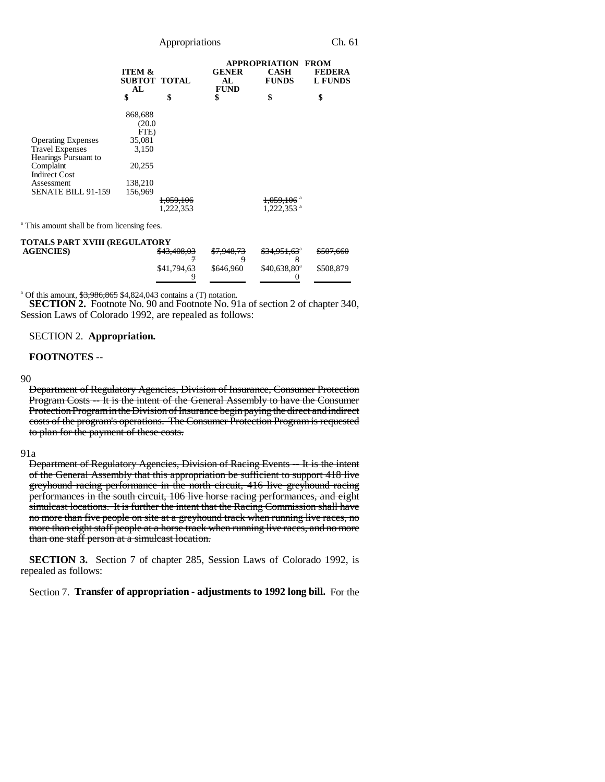|                           |                                         |                      |                                   | <b>APPROPRIATION FROM</b>   |                                 |
|---------------------------|-----------------------------------------|----------------------|-----------------------------------|-----------------------------|---------------------------------|
|                           | <b>ITEM &amp;</b><br>SUBTOT TOTAL<br>AL |                      | <b>GENER</b><br>AL<br><b>FUND</b> | <b>CASH</b><br><b>FUNDS</b> | <b>FEDERA</b><br><b>L FUNDS</b> |
|                           | \$                                      | \$                   | \$                                | \$                          | \$                              |
|                           | 868,688                                 |                      |                                   |                             |                                 |
|                           | (20.0)                                  |                      |                                   |                             |                                 |
|                           | FTE)                                    |                      |                                   |                             |                                 |
| <b>Operating Expenses</b> | 35,081                                  |                      |                                   |                             |                                 |
| <b>Travel Expenses</b>    | 3,150                                   |                      |                                   |                             |                                 |
| Hearings Pursuant to      |                                         |                      |                                   |                             |                                 |
| Complaint                 | 20,255                                  |                      |                                   |                             |                                 |
| <b>Indirect Cost</b>      |                                         |                      |                                   |                             |                                 |
| Assessment                | 138,210                                 |                      |                                   |                             |                                 |
| <b>SENATE BILL 91-159</b> | 156.969                                 |                      |                                   |                             |                                 |
|                           |                                         | <del>1,059,106</del> |                                   | 1,059,106 <sup>a</sup>      |                                 |
|                           |                                         | 1,222,353            |                                   | $1,222,353$ <sup>a</sup>    |                                 |

<sup>a</sup> This amount shall be from licensing fees.

| TOTALS PART XVIII (REGULATORY |             |                       |                                     |           |
|-------------------------------|-------------|-----------------------|-------------------------------------|-----------|
| <b>AGENCIES</b>               | \$43,408,03 | <del>\$7,948,73</del> | <del>\$34,951,63</del> <sup>a</sup> | \$507,660 |
|                               |             |                       |                                     |           |
|                               | \$41,794,63 | \$646,960             | $$40.638.80^a$                      | \$508,879 |
|                               |             |                       |                                     |           |

<sup>a</sup> Of this amount, \$3,986,865 \$4,824,043 contains a (T) notation.

**SECTION 2.** Footnote No. 90 and Footnote No. 91a of section 2 of chapter 340, Session Laws of Colorado 1992, are repealed as follows:

SECTION 2. **Appropriation.**

#### **FOOTNOTES --**

#### 90

Department of Regulatory Agencies, Division of Insurance, Consumer Protection Program Costs -- It is the intent of the General Assembly to have the Consumer Protection Program in the Division of Insurance begin paying the direct and indirect costs of the program's operations. The Consumer Protection Program is requested to plan for the payment of these costs.

#### 91a

Department of Regulatory Agencies, Division of Racing Events -- It is the intent of the General Assembly that this appropriation be sufficient to support 418 live greyhound racing performance in the north circuit, 416 live greyhound racing performances in the south circuit, 106 live horse racing performances, and eight simulcast locations. It is further the intent that the Racing Commission shall have no more than five people on site at a greyhound track when running live races, no more than eight staff people at a horse track when running live races, and no more than one staff person at a simulcast location.

**SECTION 3.** Section 7 of chapter 285, Session Laws of Colorado 1992, is repealed as follows:

Section 7. **Transfer of appropriation - adjustments to 1992 long bill.** For the